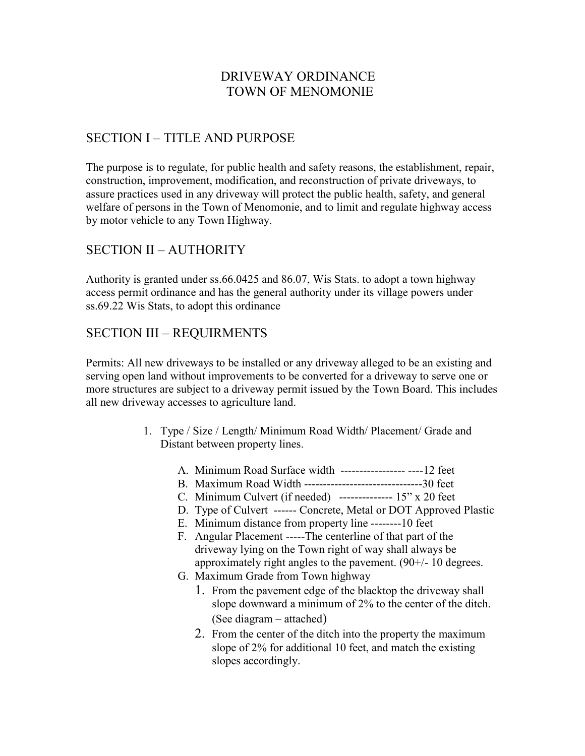## DRIVEWAY ORDINANCE TOWN OF MENOMONIE

# SECTION I – TITLE AND PURPOSE

The purpose is to regulate, for public health and safety reasons, the establishment, repair, construction, improvement, modification, and reconstruction of private driveways, to assure practices used in any driveway will protect the public health, safety, and general welfare of persons in the Town of Menomonie, and to limit and regulate highway access by motor vehicle to any Town Highway.

### SECTION II – AUTHORITY

Authority is granted under ss.66.0425 and 86.07, Wis Stats. to adopt a town highway access permit ordinance and has the general authority under its village powers under ss.69.22 Wis Stats, to adopt this ordinance

### SECTION III – REQUIRMENTS

Permits: All new driveways to be installed or any driveway alleged to be an existing and serving open land without improvements to be converted for a driveway to serve one or more structures are subject to a driveway permit issued by the Town Board. This includes all new driveway accesses to agriculture land.

- 1. Type / Size / Length/ Minimum Road Width/ Placement/ Grade and Distant between property lines.
	- A. Minimum Road Surface width ----------------- ----12 feet
	- B. Maximum Road Width -------------------------------30 feet
	- C. Minimum Culvert (if needed) -------------- 15" x 20 feet
	- D. Type of Culvert ------ Concrete, Metal or DOT Approved Plastic
	- E. Minimum distance from property line --------10 feet
	- F. Angular Placement -----The centerline of that part of the driveway lying on the Town right of way shall always be approximately right angles to the pavement. (90+/- 10 degrees.
	- G. Maximum Grade from Town highway
		- 1. From the pavement edge of the blacktop the driveway shall slope downward a minimum of 2% to the center of the ditch. (See diagram – attached)
		- 2. From the center of the ditch into the property the maximum slope of 2% for additional 10 feet, and match the existing slopes accordingly.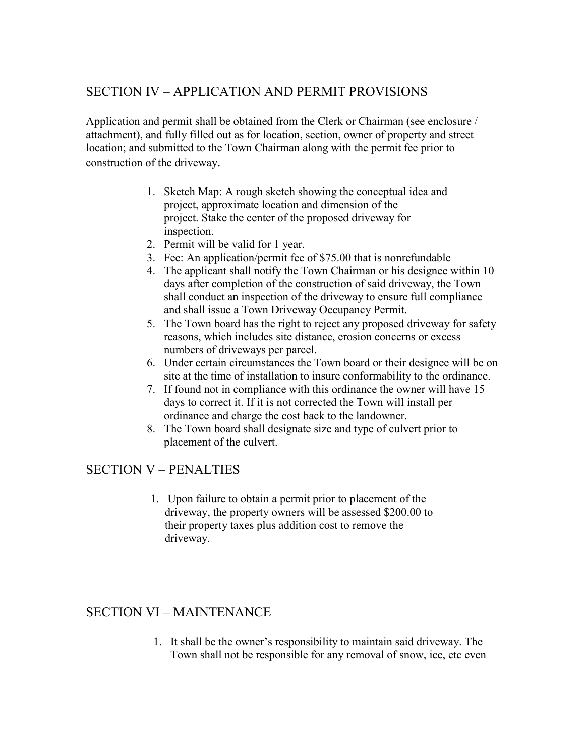## SECTION IV – APPLICATION AND PERMIT PROVISIONS

Application and permit shall be obtained from the Clerk or Chairman (see enclosure / attachment), and fully filled out as for location, section, owner of property and street location; and submitted to the Town Chairman along with the permit fee prior to construction of the driveway.

- 1. Sketch Map: A rough sketch showing the conceptual idea and project, approximate location and dimension of the project. Stake the center of the proposed driveway for inspection.
- 2. Permit will be valid for 1 year.
- 3. Fee: An application/permit fee of \$75.00 that is nonrefundable
- 4. The applicant shall notify the Town Chairman or his designee within 10 days after completion of the construction of said driveway, the Town shall conduct an inspection of the driveway to ensure full compliance and shall issue a Town Driveway Occupancy Permit.
- 5. The Town board has the right to reject any proposed driveway for safety reasons, which includes site distance, erosion concerns or excess numbers of driveways per parcel.
- 6. Under certain circumstances the Town board or their designee will be on site at the time of installation to insure conformability to the ordinance.
- 7. If found not in compliance with this ordinance the owner will have 15 days to correct it. If it is not corrected the Town will install per ordinance and charge the cost back to the landowner.
- 8. The Town board shall designate size and type of culvert prior to placement of the culvert.

### SECTION V – PENALTIES

1. Upon failure to obtain a permit prior to placement of the driveway, the property owners will be assessed \$200.00 to their property taxes plus addition cost to remove the driveway.

#### SECTION VI – MAINTENANCE

1. It shall be the owner's responsibility to maintain said driveway. The Town shall not be responsible for any removal of snow, ice, etc even